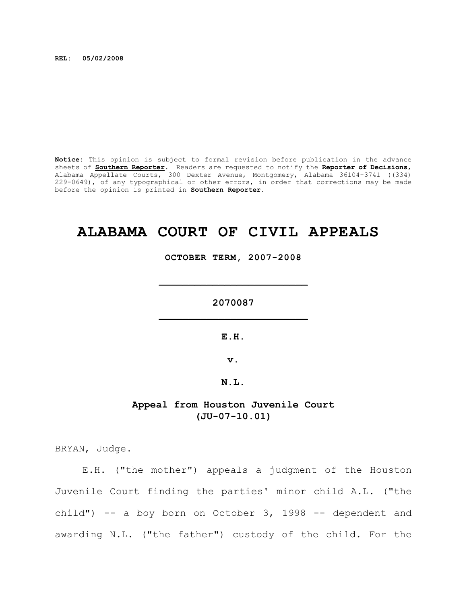**REL: 05/02/2008**

**Notice:** This opinion is subject to formal revision before publication in the advance sheets of **Southern Reporter**. Readers are requested to notify the **Reporter of Decisions**, Alabama Appellate Courts, 300 Dexter Avenue, Montgomery, Alabama 36104-3741 ((334) 229-0649), of any typographical or other errors, in order that corrections may be made before the opinion is printed in **Southern Reporter**.

# **ALABAMA COURT OF CIVIL APPEALS**

**OCTOBER TERM, 2007-2008**

**2070087 \_\_\_\_\_\_\_\_\_\_\_\_\_\_\_\_\_\_\_\_\_\_\_\_\_**

**\_\_\_\_\_\_\_\_\_\_\_\_\_\_\_\_\_\_\_\_\_\_\_\_\_**

**E.H.**

**v.**

**N.L.**

# **Appeal from Houston Juvenile Court (JU-07-10.01)**

BRYAN, Judge.

E.H. ("the mother") appeals a judgment of the Houston Juvenile Court finding the parties' minor child A.L. ("the child") -- a boy born on October 3, 1998 -- dependent and awarding N.L. ("the father") custody of the child. For the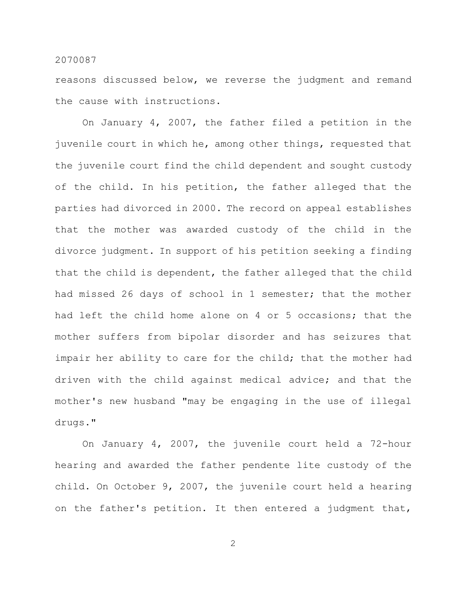reasons discussed below, we reverse the judgment and remand the cause with instructions.

On January 4, 2007, the father filed a petition in the juvenile court in which he, among other things, requested that the juvenile court find the child dependent and sought custody of the child. In his petition, the father alleged that the parties had divorced in 2000. The record on appeal establishes that the mother was awarded custody of the child in the divorce judgment. In support of his petition seeking a finding that the child is dependent, the father alleged that the child had missed 26 days of school in 1 semester; that the mother had left the child home alone on 4 or 5 occasions; that the mother suffers from bipolar disorder and has seizures that impair her ability to care for the child; that the mother had driven with the child against medical advice; and that the mother's new husband "may be engaging in the use of illegal drugs."

On January 4, 2007, the juvenile court held a 72-hour hearing and awarded the father pendente lite custody of the child. On October 9, 2007, the juvenile court held a hearing on the father's petition. It then entered a judgment that,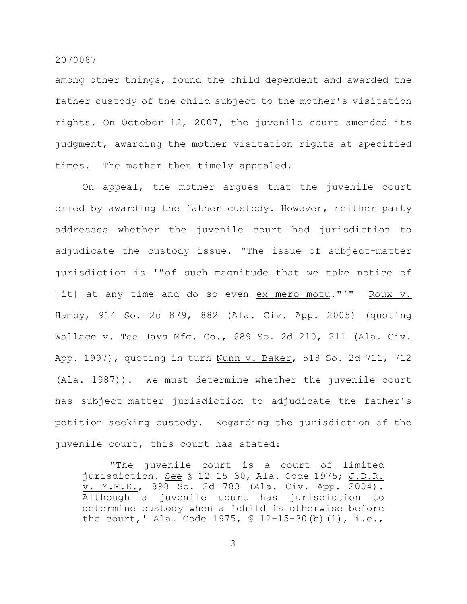among other things, found the child dependent and awarded the father custody of the child subject to the mother's visitation rights. On October 12, 2007, the juvenile court amended its judgment, awarding the mother visitation rights at specified times. The mother then timely appealed.

On appeal, the mother argues that the juvenile court erred by awarding the father custody. However, neither party addresses whether the juvenile court had jurisdiction to adjudicate the custody issue. "The issue of subject-matter jurisdiction is '"of such magnitude that we take notice of [it] at any time and do so even ex mero motu."'" Roux v. Hamby, 914 So. 2d 879, 882 (Ala. Civ. App. 2005) (quoting Wallace v. Tee Jays Mfg. Co., 689 So. 2d 210, 211 (Ala. Civ. App. 1997), quoting in turn Nunn v. Baker, 518 So. 2d 711, 712 (Ala. 1987)). We must determine whether the juvenile court has subject-matter jurisdiction to adjudicate the father's petition seeking custody. Regarding the jurisdiction of the juvenile court, this court has stated:

"The juvenile court is a court of limited jurisdiction. See § 12-15-30, Ala. Code 1975; J.D.R. v. M.M.E., 898 So. 2d 783 (Ala. Civ. App. 2004). Although a juvenile court has jurisdiction to determine custody when a 'child is otherwise before the court, ' Ala. Code 1975,  $\frac{1}{2}$  12-15-30(b)(1), i.e.,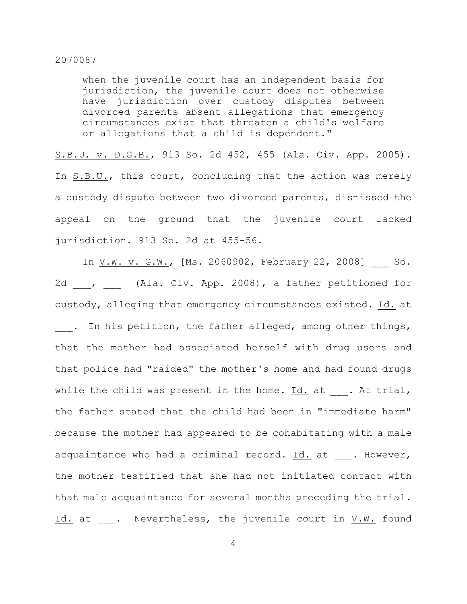when the juvenile court has an independent basis for jurisdiction, the juvenile court does not otherwise have jurisdiction over custody disputes between divorced parents absent allegations that emergency circumstances exist that threaten a child's welfare or allegations that a child is dependent."

S.B.U. v. D.G.B., 913 So. 2d 452, 455 (Ala. Civ. App. 2005). In S.B.U., this court, concluding that the action was merely a custody dispute between two divorced parents, dismissed the appeal on the ground that the juvenile court lacked jurisdiction. 913 So. 2d at 455-56.

In V.W. v. G.W., [Ms. 2060902, February 22, 2008] So. 2d \_\_\_, \_\_\_ (Ala. Civ. App. 2008), a father petitioned for custody, alleging that emergency circumstances existed. Id. at . In his petition, the father alleged, among other things, that the mother had associated herself with drug users and that police had "raided" the mother's home and had found drugs while the child was present in the home. Id. at . At trial, the father stated that the child had been in "immediate harm" because the mother had appeared to be cohabitating with a male acquaintance who had a criminal record.  $Id.$  at  $\ldots$  However, the mother testified that she had not initiated contact with that male acquaintance for several months preceding the trial. Id. at  $\cdot$  Nevertheless, the juvenile court in  $V.\bar{W}$ . found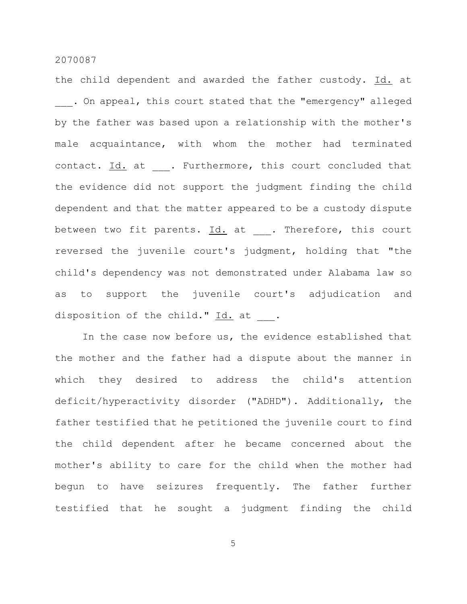the child dependent and awarded the father custody. Id. at . On appeal, this court stated that the "emergency" alleged by the father was based upon a relationship with the mother's male acquaintance, with whom the mother had terminated contact. Id. at . Furthermore, this court concluded that the evidence did not support the judgment finding the child dependent and that the matter appeared to be a custody dispute between two fit parents.  $\underline{Id.}$  at . Therefore, this court reversed the juvenile court's judgment, holding that "the child's dependency was not demonstrated under Alabama law so as to support the juvenile court's adjudication and disposition of the child."  $\underline{Id.}$  at .

In the case now before us, the evidence established that the mother and the father had a dispute about the manner in which they desired to address the child's attention deficit/hyperactivity disorder ("ADHD"). Additionally, the father testified that he petitioned the juvenile court to find the child dependent after he became concerned about the mother's ability to care for the child when the mother had begun to have seizures frequently. The father further testified that he sought a judgment finding the child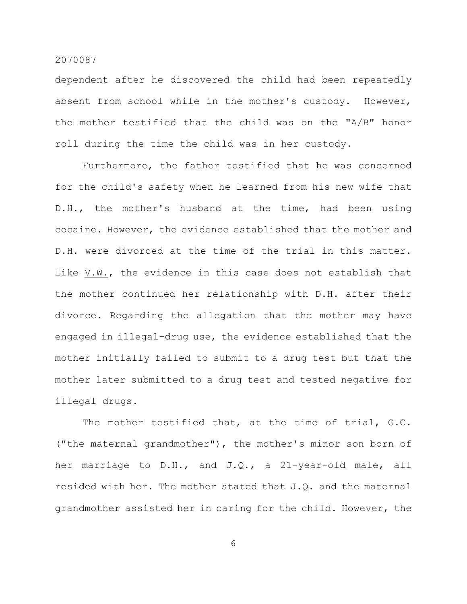dependent after he discovered the child had been repeatedly absent from school while in the mother's custody. However, the mother testified that the child was on the "A/B" honor roll during the time the child was in her custody.

Furthermore, the father testified that he was concerned for the child's safety when he learned from his new wife that D.H., the mother's husband at the time, had been using cocaine. However, the evidence established that the mother and D.H. were divorced at the time of the trial in this matter. Like V.W., the evidence in this case does not establish that the mother continued her relationship with D.H. after their divorce. Regarding the allegation that the mother may have engaged in illegal-drug use, the evidence established that the mother initially failed to submit to a drug test but that the mother later submitted to a drug test and tested negative for illegal drugs.

The mother testified that, at the time of trial, G.C. ("the maternal grandmother"), the mother's minor son born of her marriage to D.H., and J.Q., a 21-year-old male, all resided with her. The mother stated that J.Q. and the maternal grandmother assisted her in caring for the child. However, the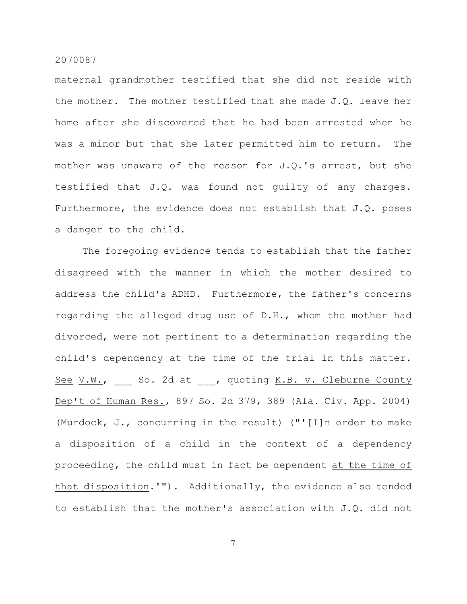maternal grandmother testified that she did not reside with the mother. The mother testified that she made J.Q. leave her home after she discovered that he had been arrested when he was a minor but that she later permitted him to return. The mother was unaware of the reason for J.Q.'s arrest, but she testified that J.Q. was found not guilty of any charges. Furthermore, the evidence does not establish that J.Q. poses a danger to the child.

The foregoing evidence tends to establish that the father disagreed with the manner in which the mother desired to address the child's ADHD. Furthermore, the father's concerns regarding the alleged drug use of D.H., whom the mother had divorced, were not pertinent to a determination regarding the child's dependency at the time of the trial in this matter. See V.W., So. 2d at , quoting K.B. v. Cleburne County Dep't of Human Res., 897 So. 2d 379, 389 (Ala. Civ. App. 2004) (Murdock, J., concurring in the result) ("'[I]n order to make a disposition of a child in the context of a dependency proceeding, the child must in fact be dependent at the time of that disposition.'"). Additionally, the evidence also tended to establish that the mother's association with J.Q. did not